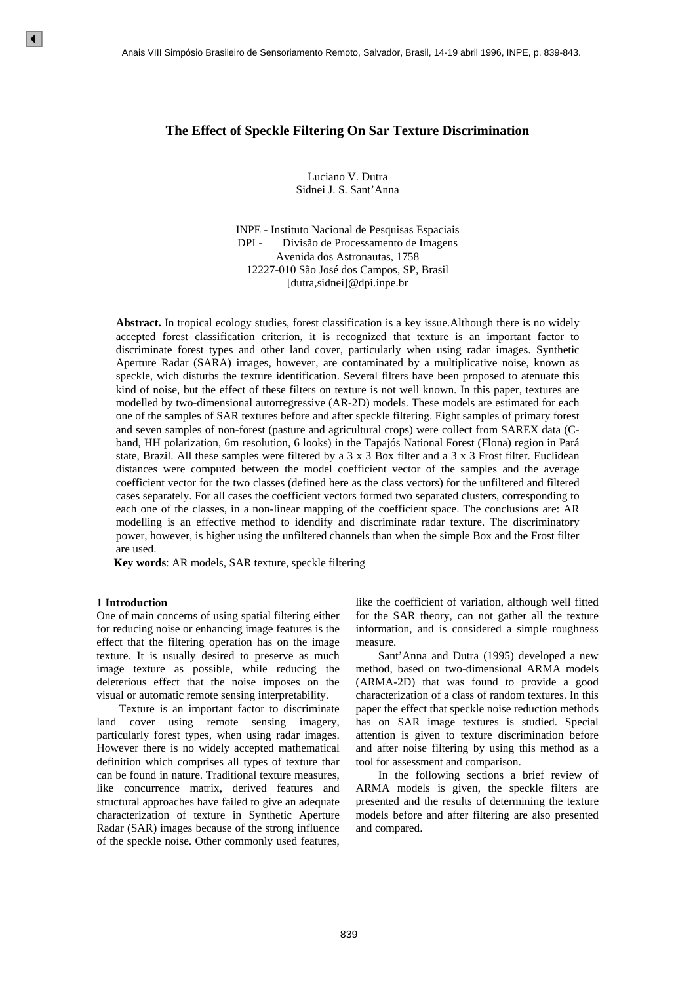# **The Effect of Speckle Filtering On Sar Texture Discrimination**

Luciano V. Dutra Sidnei J. S. Sant'Anna

INPE - Instituto Nacional de Pesquisas Espaciais DPI - Divisão de Processamento de Imagens Avenida dos Astronautas, 1758 12227-010 São José dos Campos, SP, Brasil [dutra,sidnei]@dpi.inpe.br

**Abstract.** In tropical ecology studies, forest classification is a key issue.Although there is no widely accepted forest classification criterion, it is recognized that texture is an important factor to discriminate forest types and other land cover, particularly when using radar images. Synthetic Aperture Radar (SARA) images, however, are contaminated by a multiplicative noise, known as speckle, wich disturbs the texture identification. Several filters have been proposed to atenuate this kind of noise, but the effect of these filters on texture is not well known. In this paper, textures are modelled by two-dimensional autorregressive (AR-2D) models. These models are estimated for each one of the samples of SAR textures before and after speckle filtering. Eight samples of primary forest and seven samples of non-forest (pasture and agricultural crops) were collect from SAREX data (Cband, HH polarization, 6m resolution, 6 looks) in the Tapajós National Forest (Flona) region in Pará state, Brazil. All these samples were filtered by a  $3 \times 3$  Box filter and a  $3 \times 3$  Frost filter. Euclidean distances were computed between the model coefficient vector of the samples and the average coefficient vector for the two classes (defined here as the class vectors) for the unfiltered and filtered cases separately. For all cases the coefficient vectors formed two separated clusters, corresponding to each one of the classes, in a non-linear mapping of the coefficient space. The conclusions are: AR modelling is an effective method to idendify and discriminate radar texture. The discriminatory power, however, is higher using the unfiltered channels than when the simple Box and the Frost filter are used. A case VIII Simpleab Branileiro de Samtoformento Remoto<br>
The Effect of Speckleke Filtering O<br>
1 Luciano V<br>
1 Sichio J.S. S<br>
INTE: - Instituto Nacional DPI<br>
1 Divisio de Proto Control Control Control Control (control Contr

**Key words**: AR models, SAR texture, speckle filtering

### **1 Introduction**

One of main concerns of using spatial filtering either for reducing noise or enhancing image features is the effect that the filtering operation has on the image texture. It is usually desired to preserve as much image texture as possible, while reducing the deleterious effect that the noise imposes on the visual or automatic remote sensing interpretability.

 Texture is an important factor to discriminate land cover using remote sensing imagery, particularly forest types, when using radar images. However there is no widely accepted mathematical definition which comprises all types of texture thar can be found in nature. Traditional texture measures, like concurrence matrix, derived features and structural approaches have failed to give an adequate characterization of texture in Synthetic Aperture Radar (SAR) images because of the strong influence of the speckle noise. Other commonly used features,

like the coefficient of variation, although well fitted for the SAR theory, can not gather all the texture information, and is considered a simple roughness measure.

 Sant'Anna and Dutra (1995) developed a new method, based on two-dimensional ARMA models (ARMA-2D) that was found to provide a good characterization of a class of random textures. In this paper the effect that speckle noise reduction methods has on SAR image textures is studied. Special attention is given to texture discrimination before and after noise filtering by using this method as a tool for assessment and comparison.

 In the following sections a brief review of ARMA models is given, the speckle filters are presented and the results of determining the texture models before and after filtering are also presented and compared.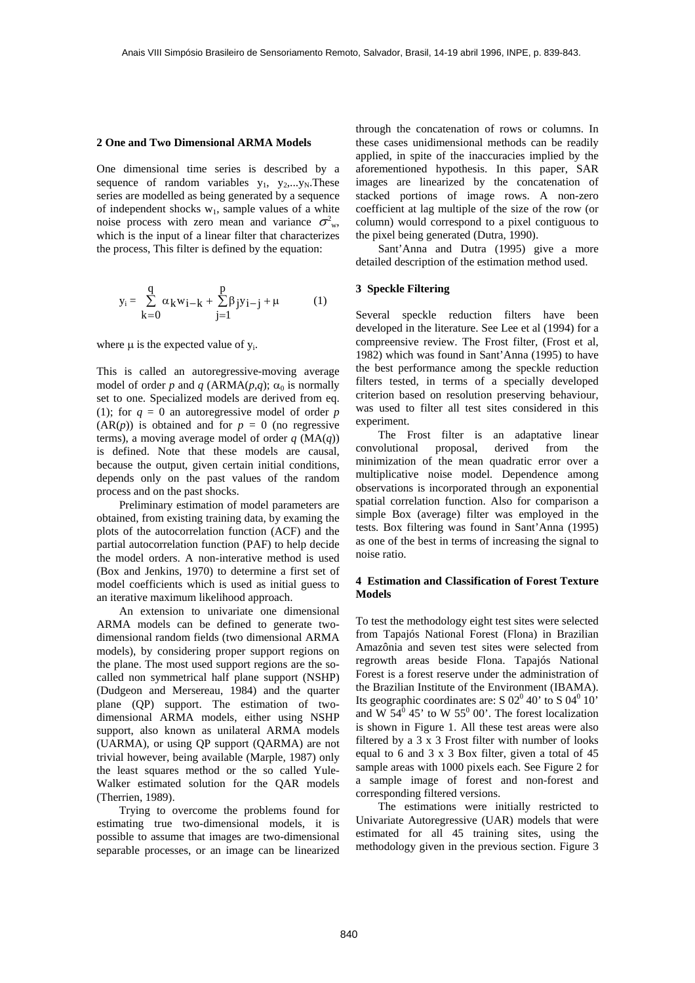#### **2 One and Two Dimensional ARMA Models**

One dimensional time series is described by a sequence of random variables  $y_1$ ,  $y_2$ ,...y<sub>N</sub>.These series are modelled as being generated by a sequence of independent shocks  $w_1$ , sample values of a white noise process with zero mean and variance  $\sigma_{w}^2$ , which is the input of a linear filter that characterizes the process, This filter is defined by the equation:

$$
y_{i} = \sum_{k=0}^{q} \alpha_{k} w_{i-k} + \sum_{j=1}^{p} \beta_{j} y_{i-j} + \mu
$$
 (1)

where  $\mu$  is the expected value of  $y_i$ .

This is called an autoregressive-moving average model of order *p* and *q* (ARMA(*p*,*q*);  $\alpha_0$  is normally set to one. Specialized models are derived from eq. (1); for  $q = 0$  an autoregressive model of order *p*  $(AR(p))$  is obtained and for  $p = 0$  (no regressive terms), a moving average model of order  $q$  (MA $(q)$ ) is defined. Note that these models are causal, because the output, given certain initial conditions, depends only on the past values of the random process and on the past shocks.

 Preliminary estimation of model parameters are obtained, from existing training data, by examing the plots of the autocorrelation function (ACF) and the partial autocorrelation function (PAF) to help decide the model orders. A non-interative method is used (Box and Jenkins, 1970) to determine a first set of model coefficients which is used as initial guess to an iterative maximum likelihood approach.

 An extension to univariate one dimensional ARMA models can be defined to generate twodimensional random fields (two dimensional ARMA models), by considering proper support regions on the plane. The most used support regions are the socalled non symmetrical half plane support (NSHP) (Dudgeon and Mersereau, 1984) and the quarter plane (QP) support. The estimation of twodimensional ARMA models, either using NSHP support, also known as unilateral ARMA models (UARMA), or using QP support (QARMA) are not trivial however, being available (Marple, 1987) only the least squares method or the so called Yule-Walker estimated solution for the QAR models (Therrien, 1989).

 Trying to overcome the problems found for estimating true two-dimensional models, it is possible to assume that images are two-dimensional separable processes, or an image can be linearized

through the concatenation of rows or columns. In these cases unidimensional methods can be readily applied, in spite of the inaccuracies implied by the aforementioned hypothesis. In this paper, SAR images are linearized by the concatenation of stacked portions of image rows. A non-zero coefficient at lag multiple of the size of the row (or column) would correspond to a pixel contiguous to the pixel being generated (Dutra, 1990).

 Sant'Anna and Dutra (1995) give a more detailed description of the estimation method used.

## **3 Speckle Filtering**

Several speckle reduction filters have been developed in the literature. See Lee et al (1994) for a compreensive review. The Frost filter, (Frost et al, 1982) which was found in Sant'Anna (1995) to have the best performance among the speckle reduction filters tested, in terms of a specially developed criterion based on resolution preserving behaviour, was used to filter all test sites considered in this experiment.

 The Frost filter is an adaptative linear convolutional proposal, derived from the minimization of the mean quadratic error over a multiplicative noise model. Dependence among observations is incorporated through an exponential spatial correlation function. Also for comparison a simple Box (average) filter was employed in the tests. Box filtering was found in Sant'Anna (1995) as one of the best in terms of increasing the signal to noise ratio.

# **4 Estimation and Classification of Forest Texture Models**

To test the methodology eight test sites were selected from Tapajós National Forest (Flona) in Brazilian Amazônia and seven test sites were selected from regrowth areas beside Flona. Tapajós National Forest is a forest reserve under the administration of the Brazilian Institute of the Environment (IBAMA). Its geographic coordinates are:  $S$  02<sup>0</sup> 40' to  $S$  04<sup>0</sup> 10' and W  $54^{\overline{0}}$  45' to W  $55^{\overline{0}}$  00'. The forest localization is shown in Figure 1. All these test areas were also filtered by a 3 x 3 Frost filter with number of looks equal to 6 and 3 x 3 Box filter, given a total of 45 sample areas with 1000 pixels each. See Figure 2 for a sample image of forest and non-forest and corresponding filtered versions.

 The estimations were initially restricted to Univariate Autoregressive (UAR) models that were estimated for all 45 training sites, using the methodology given in the previous section. Figure 3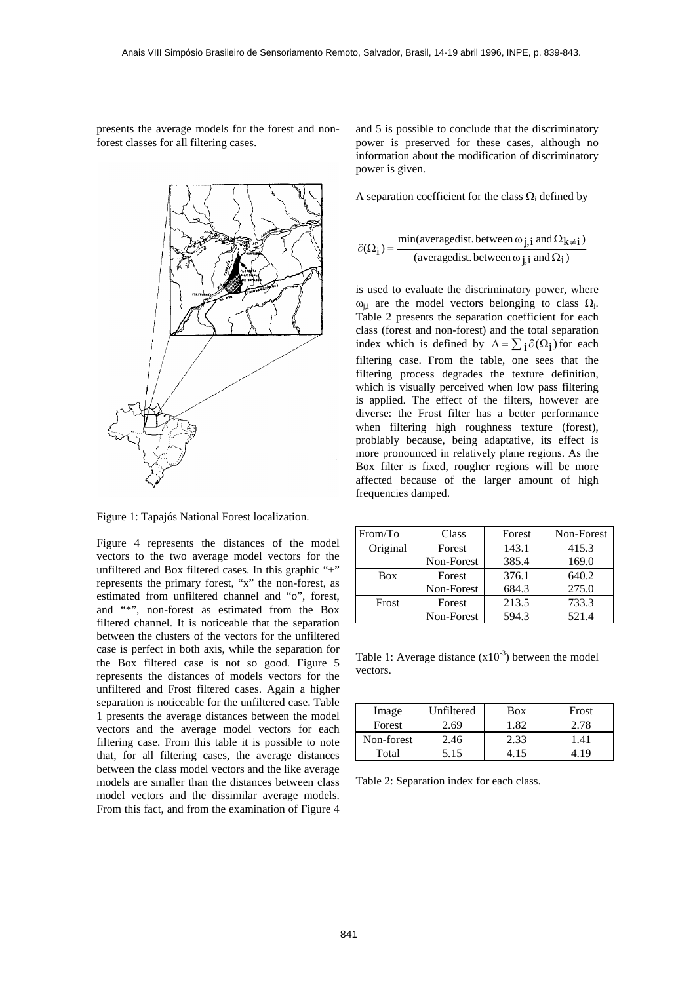presents the average models for the forest and nonforest classes for all filtering cases.



Figure 1: Tapajós National Forest localization.

Figure 4 represents the distances of the model vectors to the two average model vectors for the unfiltered and Box filtered cases. In this graphic "+" represents the primary forest, "x" the non-forest, as estimated from unfiltered channel and "o", forest, and "\*", non-forest as estimated from the Box filtered channel. It is noticeable that the separation between the clusters of the vectors for the unfiltered case is perfect in both axis, while the separation for the Box filtered case is not so good. Figure 5 represents the distances of models vectors for the unfiltered and Frost filtered cases. Again a higher separation is noticeable for the unfiltered case. Table 1 presents the average distances between the model vectors and the average model vectors for each filtering case. From this table it is possible to note that, for all filtering cases, the average distances between the class model vectors and the like average models are smaller than the distances between class model vectors and the dissimilar average models. From this fact, and from the examination of Figure 4

and 5 is possible to conclude that the discriminatory power is preserved for these cases, although no information about the modification of discriminatory power is given.

A separation coefficient for the class  $\Omega_i$  defined by

$$
\partial(\Omega_{\mathbf{i}}) = \frac{\min(\text{averagedist. between } \omega_{\mathbf{j},\mathbf{i}} \text{ and } \Omega_{\mathbf{k}\neq \mathbf{i}})}{(\text{averagedist. between } \omega_{\mathbf{j},\mathbf{i}} \text{ and } \Omega_{\mathbf{i}})}
$$

is used to evaluate the discriminatory power, where  $ω_{i,i}$  are the model vectors belonging to class  $Ω_i$ . Table 2 presents the separation coefficient for each class (forest and non-forest) and the total separation index which is defined by  $\Delta = \sum_i \partial(\Omega_i)$  for each filtering case. From the table, one sees that the filtering process degrades the texture definition, which is visually perceived when low pass filtering is applied. The effect of the filters, however are diverse: the Frost filter has a better performance when filtering high roughness texture (forest), problably because, being adaptative, its effect is more pronounced in relatively plane regions. As the Box filter is fixed, rougher regions will be more affected because of the larger amount of high frequencies damped.

| From/To    | Class      | Forest | Non-Forest |
|------------|------------|--------|------------|
| Original   | Forest     | 143.1  | 415.3      |
|            | Non-Forest | 385.4  | 169.0      |
| <b>Box</b> | Forest     | 376.1  | 640.2      |
|            | Non-Forest | 684.3  | 275.0      |
| Frost      | Forest     | 213.5  | 733.3      |
|            | Non-Forest | 594.3  | 521.4      |

Table 1: Average distance  $(x10^{-3})$  between the model vectors.

| Image      | Unfiltered | <b>Box</b> | Frost |
|------------|------------|------------|-------|
| Forest     | 2.69       | -82        | 2.78  |
| Non-forest | 2.46       | 2.33       |       |
| Total      | 5.15       |            |       |

Table 2: Separation index for each class.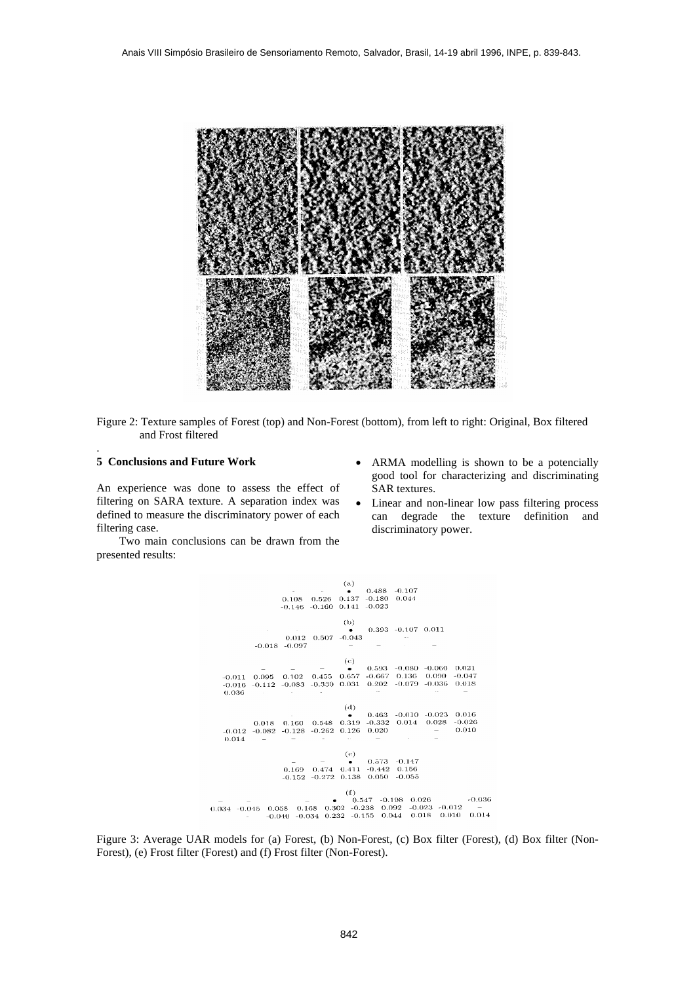

Figure 2: Texture samples of Forest (top) and Non-Forest (bottom), from left to right: Original, Box filtered and Frost filtered

#### **5 Conclusions and Future Work**

.

An experience was done to assess the effect of filtering on SARA texture. A separation index was defined to measure the discriminatory power of each filtering case.

- Two main conclusions can be drawn from the presented results:
- ARMA modelling is shown to be a potencially good tool for characterizing and discriminating SAR textures.
- Linear and non-linear low pass filtering process can degrade the texture definition and discriminatory power.



Figure 3: Average UAR models for (a) Forest, (b) Non-Forest, (c) Box filter (Forest), (d) Box filter (Non-Forest), (e) Frost filter (Forest) and (f) Frost filter (Non-Forest).